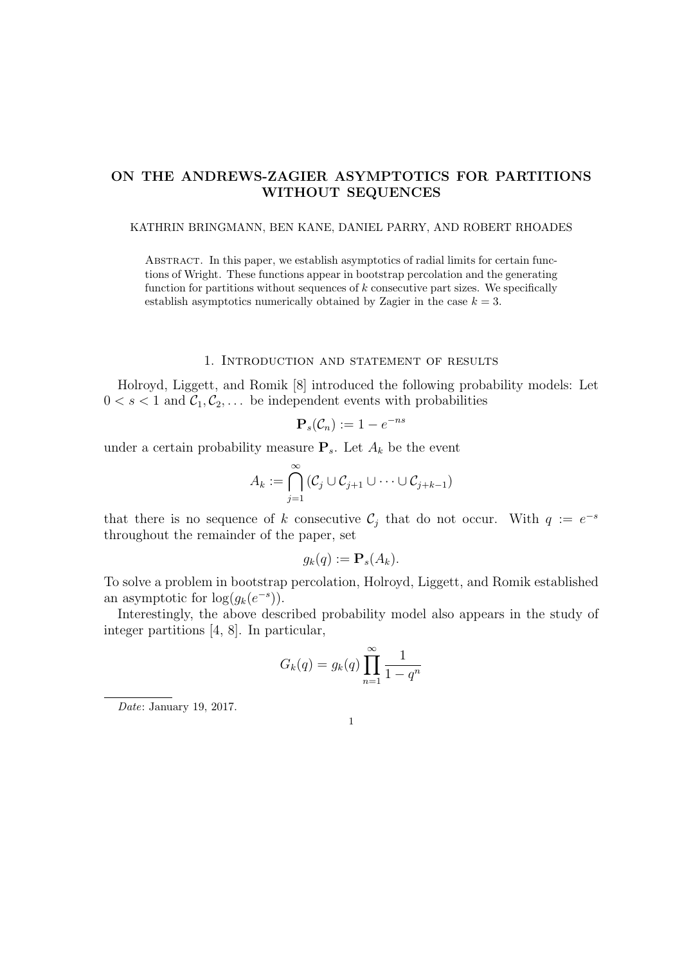# ON THE ANDREWS-ZAGIER ASYMPTOTICS FOR PARTITIONS WITHOUT SEQUENCES

### KATHRIN BRINGMANN, BEN KANE, DANIEL PARRY, AND ROBERT RHOADES

Abstract. In this paper, we establish asymptotics of radial limits for certain functions of Wright. These functions appear in bootstrap percolation and the generating function for partitions without sequences of  $k$  consecutive part sizes. We specifically establish asymptotics numerically obtained by Zagier in the case  $k = 3$ .

# 1. Introduction and statement of results

Holroyd, Liggett, and Romik [8] introduced the following probability models: Let  $0 < s < 1$  and  $C_1, C_2, \ldots$  be independent events with probabilities

$$
\mathbf{P}_s(\mathcal{C}_n) := 1 - e^{-ns}
$$

under a certain probability measure  $P_s$ . Let  $A_k$  be the event

$$
A_k := \bigcap_{j=1}^{\infty} (\mathcal{C}_j \cup \mathcal{C}_{j+1} \cup \cdots \cup \mathcal{C}_{j+k-1})
$$

that there is no sequence of k consecutive  $\mathcal{C}_j$  that do not occur. With  $q := e^{-s}$ throughout the remainder of the paper, set

$$
g_k(q) := \mathbf{P}_s(A_k).
$$

To solve a problem in bootstrap percolation, Holroyd, Liggett, and Romik established an asymptotic for  $\log(g_k(e^{-s})).$ 

Interestingly, the above described probability model also appears in the study of integer partitions [4, 8]. In particular,

$$
G_k(q) = g_k(q) \prod_{n=1}^{\infty} \frac{1}{1 - q^n}
$$

Date: January 19, 2017.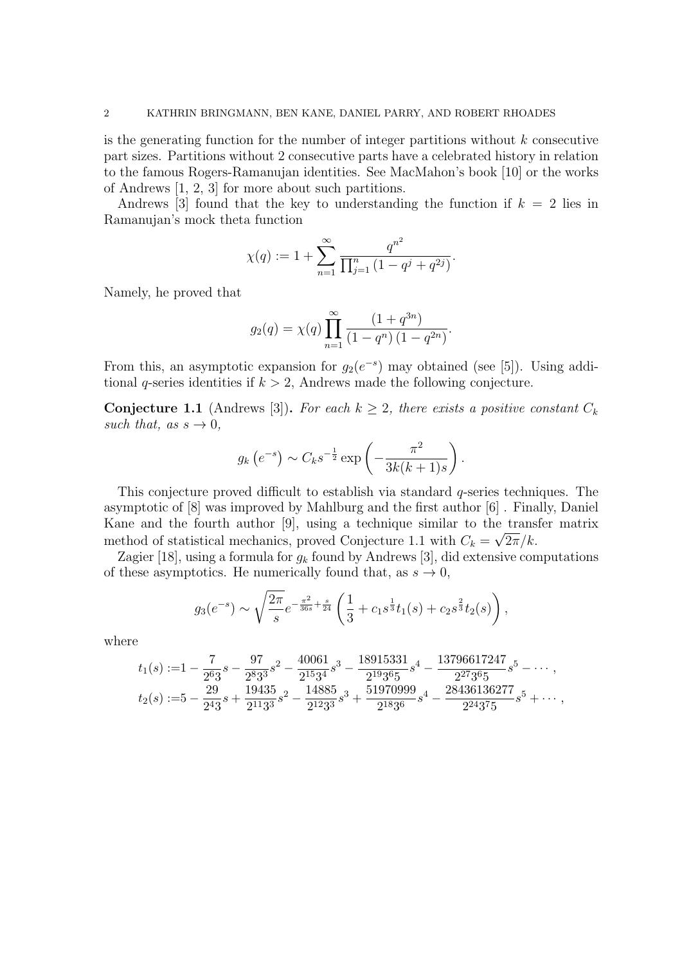is the generating function for the number of integer partitions without k consecutive part sizes. Partitions without 2 consecutive parts have a celebrated history in relation to the famous Rogers-Ramanujan identities. See MacMahon's book [10] or the works of Andrews [1, 2, 3] for more about such partitions.

Andrews [3] found that the key to understanding the function if  $k = 2$  lies in Ramanujan's mock theta function

$$
\chi(q) := 1 + \sum_{n=1}^{\infty} \frac{q^{n^2}}{\prod_{j=1}^n (1 - q^j + q^{2j})}.
$$

Namely, he proved that

$$
g_2(q) = \chi(q) \prod_{n=1}^{\infty} \frac{(1+q^{3n})}{(1-q^n) (1-q^{2n})}.
$$

From this, an asymptotic expansion for  $g_2(e^{-s})$  may obtained (see [5]). Using additional q-series identities if  $k > 2$ , Andrews made the following conjecture.

**Conjecture 1.1** (Andrews [3]). For each  $k \geq 2$ , there exists a positive constant  $C_k$ such that, as  $s \to 0$ ,

$$
g_k(e^{-s}) \sim C_k s^{-\frac{1}{2}} \exp\left(-\frac{\pi^2}{3k(k+1)s}\right).
$$

This conjecture proved difficult to establish via standard  $q$ -series techniques. The asymptotic of [8] was improved by Mahlburg and the first author [6] . Finally, Daniel Kane and the fourth author [9], using a technique similar to the transfer matrix method of statistical mechanics, proved Conjecture 1.1 with  $C_k = \sqrt{2\pi/k}$ .

Zagier [18], using a formula for  $g_k$  found by Andrews [3], did extensive computations of these asymptotics. He numerically found that, as  $s \to 0$ ,

$$
g_3(e^{-s}) \sim \sqrt{\frac{2\pi}{s}} e^{-\frac{\pi^2}{36s} + \frac{s}{24}} \left( \frac{1}{3} + c_1 s^{\frac{1}{3}} t_1(s) + c_2 s^{\frac{2}{3}} t_2(s) \right),
$$

where

$$
t_1(s) := 1 - \frac{7}{2^6 3}s - \frac{97}{2^8 3^3}s^2 - \frac{40061}{2^{15} 3^4}s^3 - \frac{18915331}{2^{19} 3^6 5}s^4 - \frac{13796617247}{2^{27} 3^6 5}s^5 - \cdots,
$$
  

$$
t_2(s) := 5 - \frac{29}{2^4 3}s + \frac{19435}{2^{11} 3^3}s^2 - \frac{14885}{2^{12} 3^3}s^3 + \frac{51970999}{2^{18} 3^6}s^4 - \frac{28436136277}{2^{24} 3^7 5}s^5 + \cdots,
$$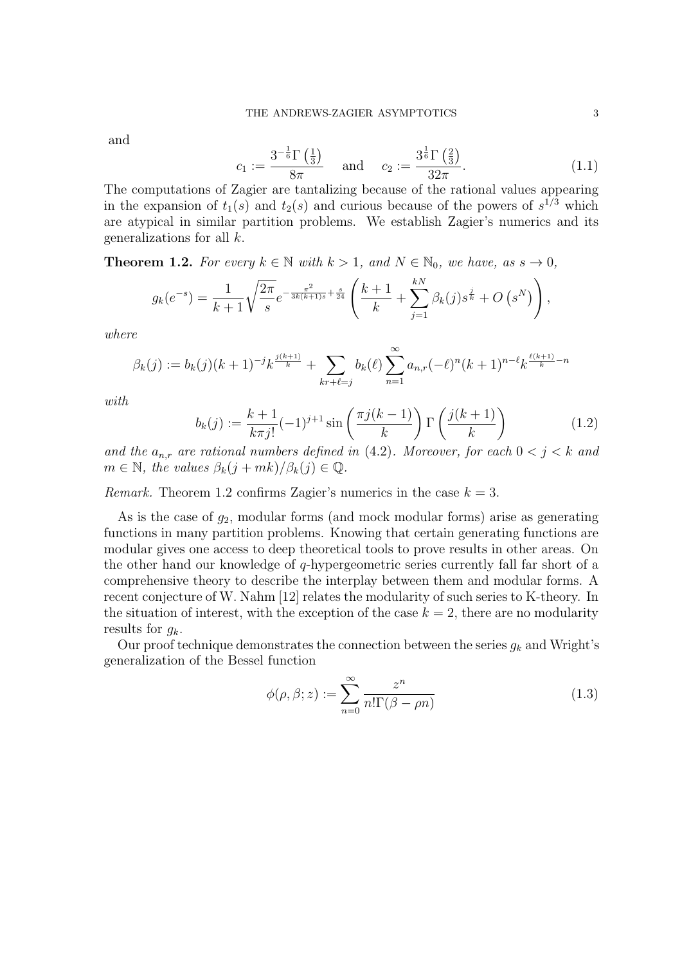and

$$
c_1 := \frac{3^{-\frac{1}{6}}\Gamma\left(\frac{1}{3}\right)}{8\pi} \quad \text{and} \quad c_2 := \frac{3^{\frac{1}{6}}\Gamma\left(\frac{2}{3}\right)}{32\pi}.\tag{1.1}
$$

The computations of Zagier are tantalizing because of the rational values appearing in the expansion of  $t_1(s)$  and  $t_2(s)$  and curious because of the powers of  $s^{1/3}$  which are atypical in similar partition problems. We establish Zagier's numerics and its generalizations for all k.

**Theorem 1.2.** For every  $k \in \mathbb{N}$  with  $k > 1$ , and  $N \in \mathbb{N}_0$ , we have, as  $s \to 0$ ,

$$
g_k(e^{-s}) = \frac{1}{k+1} \sqrt{\frac{2\pi}{s}} e^{-\frac{\pi^2}{3k(k+1)s} + \frac{s}{24}} \left( \frac{k+1}{k} + \sum_{j=1}^{kN} \beta_k(j) s^{\frac{j}{k}} + O\left(s^N\right) \right),
$$

where

$$
\beta_k(j) := b_k(j)(k+1)^{-j}k^{\frac{j(k+1)}{k}} + \sum_{kr+\ell=j} b_k(\ell) \sum_{n=1}^{\infty} a_{n,r}(-\ell)^n(k+1)^{n-\ell}k^{\frac{\ell(k+1)}{k}-n}
$$

with

$$
b_k(j) := \frac{k+1}{k\pi j!}(-1)^{j+1}\sin\left(\frac{\pi j(k-1)}{k}\right)\Gamma\left(\frac{j(k+1)}{k}\right) \tag{1.2}
$$

and the  $a_{n,r}$  are rational numbers defined in (4.2). Moreover, for each  $0 < j < k$  and  $m \in \mathbb{N}$ , the values  $\beta_k(j + mk)/\beta_k(j) \in \mathbb{Q}$ .

Remark. Theorem 1.2 confirms Zagier's numerics in the case  $k = 3$ .

As is the case of  $g_2$ , modular forms (and mock modular forms) arise as generating functions in many partition problems. Knowing that certain generating functions are modular gives one access to deep theoretical tools to prove results in other areas. On the other hand our knowledge of q-hypergeometric series currently fall far short of a comprehensive theory to describe the interplay between them and modular forms. A recent conjecture of W. Nahm [12] relates the modularity of such series to K-theory. In the situation of interest, with the exception of the case  $k = 2$ , there are no modularity results for  $q_k$ .

Our proof technique demonstrates the connection between the series  $g_k$  and Wright's generalization of the Bessel function

$$
\phi(\rho,\beta;z) := \sum_{n=0}^{\infty} \frac{z^n}{n!\Gamma(\beta - \rho n)}
$$
\n(1.3)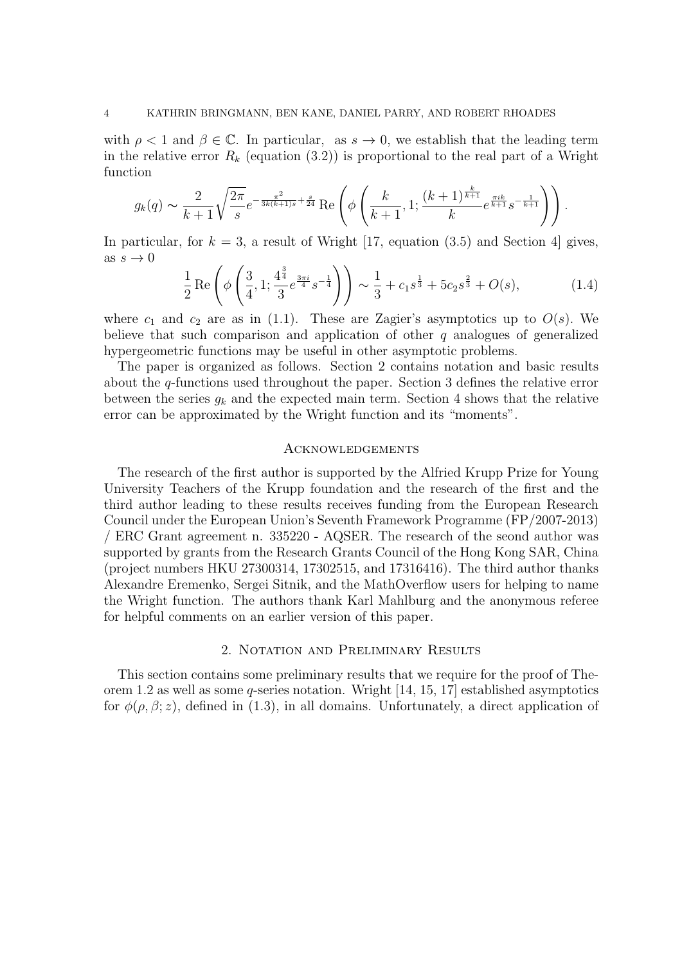with  $\rho < 1$  and  $\beta \in \mathbb{C}$ . In particular, as  $s \to 0$ , we establish that the leading term in the relative error  $R_k$  (equation (3.2)) is proportional to the real part of a Wright function

$$
g_k(q) \sim \frac{2}{k+1} \sqrt{\frac{2\pi}{s}} e^{-\frac{\pi^2}{3k(k+1)s} + \frac{s}{24}} \operatorname{Re}\left(\phi\left(\frac{k}{k+1}, 1; \frac{(k+1)^{\frac{k}{k+1}}}{k} e^{\frac{\pi i k}{k+1}} s^{-\frac{1}{k+1}}\right)\right).
$$

In particular, for  $k = 3$ , a result of Wright [17, equation (3.5) and Section 4] gives, as  $s \to 0$ 

$$
\frac{1}{2} \operatorname{Re} \left( \phi \left( \frac{3}{4}, 1; \frac{4^{\frac{3}{4}}}{3} e^{\frac{3\pi i}{4}} s^{-\frac{1}{4}} \right) \right) \sim \frac{1}{3} + c_1 s^{\frac{1}{3}} + 5c_2 s^{\frac{2}{3}} + O(s), \tag{1.4}
$$

where  $c_1$  and  $c_2$  are as in (1.1). These are Zagier's asymptotics up to  $O(s)$ . We believe that such comparison and application of other  $q$  analogues of generalized hypergeometric functions may be useful in other asymptotic problems.

The paper is organized as follows. Section 2 contains notation and basic results about the q-functions used throughout the paper. Section 3 defines the relative error between the series  $g_k$  and the expected main term. Section 4 shows that the relative error can be approximated by the Wright function and its "moments".

### **ACKNOWLEDGEMENTS**

The research of the first author is supported by the Alfried Krupp Prize for Young University Teachers of the Krupp foundation and the research of the first and the third author leading to these results receives funding from the European Research Council under the European Union's Seventh Framework Programme (FP/2007-2013) / ERC Grant agreement n. 335220 - AQSER. The research of the seond author was supported by grants from the Research Grants Council of the Hong Kong SAR, China (project numbers HKU 27300314, 17302515, and 17316416). The third author thanks Alexandre Eremenko, Sergei Sitnik, and the MathOverflow users for helping to name the Wright function. The authors thank Karl Mahlburg and the anonymous referee for helpful comments on an earlier version of this paper.

### 2. Notation and Preliminary Results

This section contains some preliminary results that we require for the proof of Theorem 1.2 as well as some q-series notation. Wright  $[14, 15, 17]$  established asymptotics for  $\phi(\rho, \beta; z)$ , defined in (1.3), in all domains. Unfortunately, a direct application of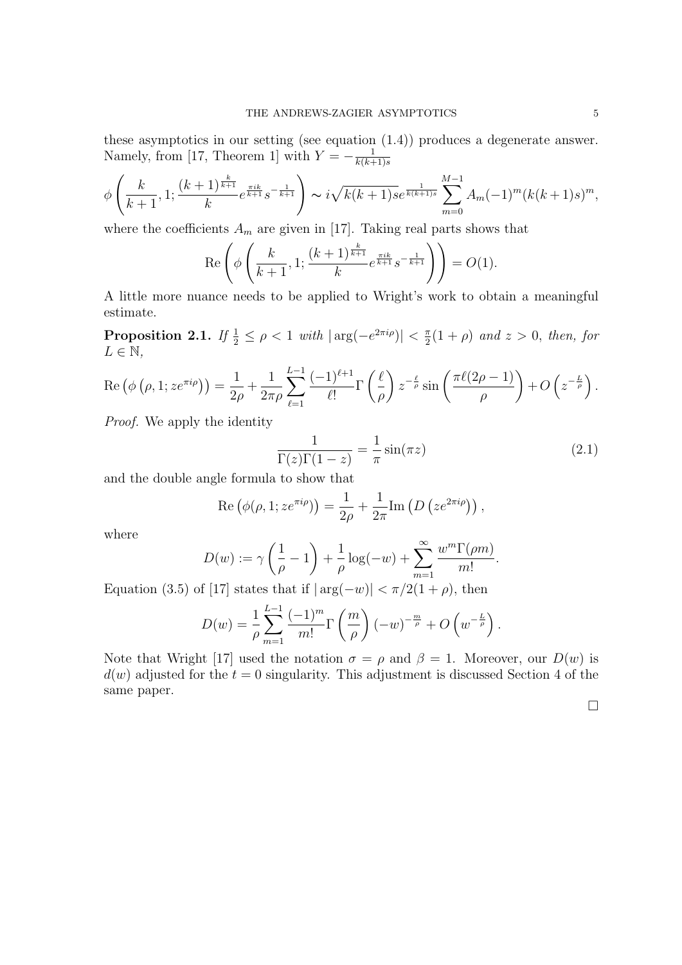these asymptotics in our setting (see equation (1.4)) produces a degenerate answer. Namely, from [17, Theorem 1] with  $Y = -\frac{1}{k(k+1)}$  $k(k+1)s$ 

$$
\phi\left(\frac{k}{k+1}, 1; \frac{(k+1)^{\frac{k}{k+1}}}{k} e^{\frac{\pi i k}{k+1}} s^{-\frac{1}{k+1}}\right) \sim i\sqrt{k(k+1)s} e^{\frac{1}{k(k+1)s}} \sum_{m=0}^{M-1} A_m (-1)^m (k(k+1)s)^m,
$$

where the coefficients  $A_m$  are given in [17]. Taking real parts shows that

$$
\operatorname{Re}\left(\phi\left(\frac{k}{k+1},1;\frac{(k+1)^{\frac{k}{k+1}}}{k}e^{\frac{\pi i k}{k+1}}s^{-\frac{1}{k+1}}\right)\right) = O(1).
$$

A little more nuance needs to be applied to Wright's work to obtain a meaningful estimate.

Proposition 2.1. If  $\frac{1}{2} \leq \rho < 1$  with  $|\arg(-e^{2\pi i \rho})| < \frac{\pi}{2}$  $\frac{\pi}{2}(1+\rho)$  and  $z>0$ , then, for  $L \in \mathbb{N}$ ,

$$
\operatorname{Re}\left(\phi\left(\rho,1;z e^{\pi i\rho}\right)\right) = \frac{1}{2\rho} + \frac{1}{2\pi\rho} \sum_{\ell=1}^{L-1} \frac{(-1)^{\ell+1}}{\ell!} \Gamma\left(\frac{\ell}{\rho}\right) z^{-\frac{\ell}{\rho}} \sin\left(\frac{\pi \ell (2\rho - 1)}{\rho}\right) + O\left(z^{-\frac{L}{\rho}}\right).
$$

Proof. We apply the identity

$$
\frac{1}{\Gamma(z)\Gamma(1-z)} = -\frac{1}{\pi}\sin(\pi z)
$$
\n(2.1)

and the double angle formula to show that

Re 
$$
(\phi(\rho, 1; z e^{\pi i \rho})) = \frac{1}{2\rho} + \frac{1}{2\pi} \text{Im} (D (z e^{2\pi i \rho}))
$$
,

where

$$
D(w) := \gamma \left(\frac{1}{\rho} - 1\right) + \frac{1}{\rho} \log(-w) + \sum_{m=1}^{\infty} \frac{w^m \Gamma(\rho m)}{m!}.
$$

Equation (3.5) of [17] states that if  $|\arg(-w)| < \pi/2(1+\rho)$ , then

$$
D(w) = \frac{1}{\rho} \sum_{m=1}^{L-1} \frac{(-1)^m}{m!} \Gamma\left(\frac{m}{\rho}\right) (-w)^{-\frac{m}{\rho}} + O\left(w^{-\frac{L}{\rho}}\right).
$$

Note that Wright [17] used the notation  $\sigma = \rho$  and  $\beta = 1$ . Moreover, our  $D(w)$  is  $d(w)$  adjusted for the  $t = 0$  singularity. This adjustment is discussed Section 4 of the same paper.

 $\Box$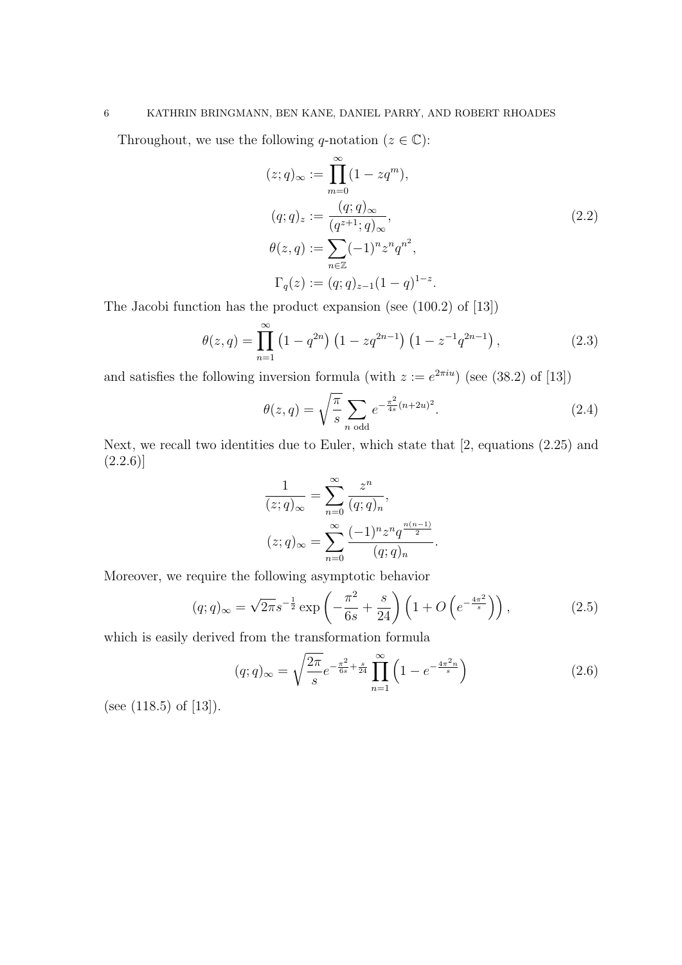# 6 KATHRIN BRINGMANN, BEN KANE, DANIEL PARRY, AND ROBERT RHOADES

Throughout, we use the following q-notation ( $z \in \mathbb{C}$ ):

$$
(z;q)_{\infty} := \prod_{m=0}^{\infty} (1 - zq^{m}),
$$
  
\n
$$
(q;q)_{z} := \frac{(q;q)_{\infty}}{(q^{z+1};q)_{\infty}},
$$
  
\n
$$
\theta(z,q) := \sum_{n \in \mathbb{Z}} (-1)^{n} z^{n} q^{n^{2}},
$$
  
\n
$$
\Gamma_{q}(z) := (q;q)_{z-1} (1-q)^{1-z}.
$$
\n(2.2)

The Jacobi function has the product expansion (see (100.2) of [13])

$$
\theta(z,q) = \prod_{n=1}^{\infty} \left(1 - q^{2n}\right) \left(1 - zq^{2n-1}\right) \left(1 - z^{-1}q^{2n-1}\right),\tag{2.3}
$$

and satisfies the following inversion formula (with  $z := e^{2\pi i u}$ ) (see (38.2) of [13])

$$
\theta(z,q) = \sqrt{\frac{\pi}{s}} \sum_{n \text{ odd}} e^{-\frac{\pi^2}{4s}(n+2u)^2}.
$$
 (2.4)

Next, we recall two identities due to Euler, which state that [2, equations (2.25) and  $(2.2.6)$ 

$$
\frac{1}{(z;q)_{\infty}} = \sum_{n=0}^{\infty} \frac{z^n}{(q;q)_n},
$$

$$
(z;q)_{\infty} = \sum_{n=0}^{\infty} \frac{(-1)^n z^n q^{\frac{n(n-1)}{2}}}{(q;q)_n}.
$$

Moreover, we require the following asymptotic behavior

$$
(q;q)_{\infty} = \sqrt{2\pi} s^{-\frac{1}{2}} \exp\left(-\frac{\pi^2}{6s} + \frac{s}{24}\right) \left(1 + O\left(e^{-\frac{4\pi^2}{s}}\right)\right),\tag{2.5}
$$

which is easily derived from the transformation formula

$$
(q;q)_{\infty} = \sqrt{\frac{2\pi}{s}} e^{-\frac{\pi^2}{6s} + \frac{s}{24}} \prod_{n=1}^{\infty} \left( 1 - e^{-\frac{4\pi^2 n}{s}} \right)
$$
 (2.6)

(see (118.5) of [13]).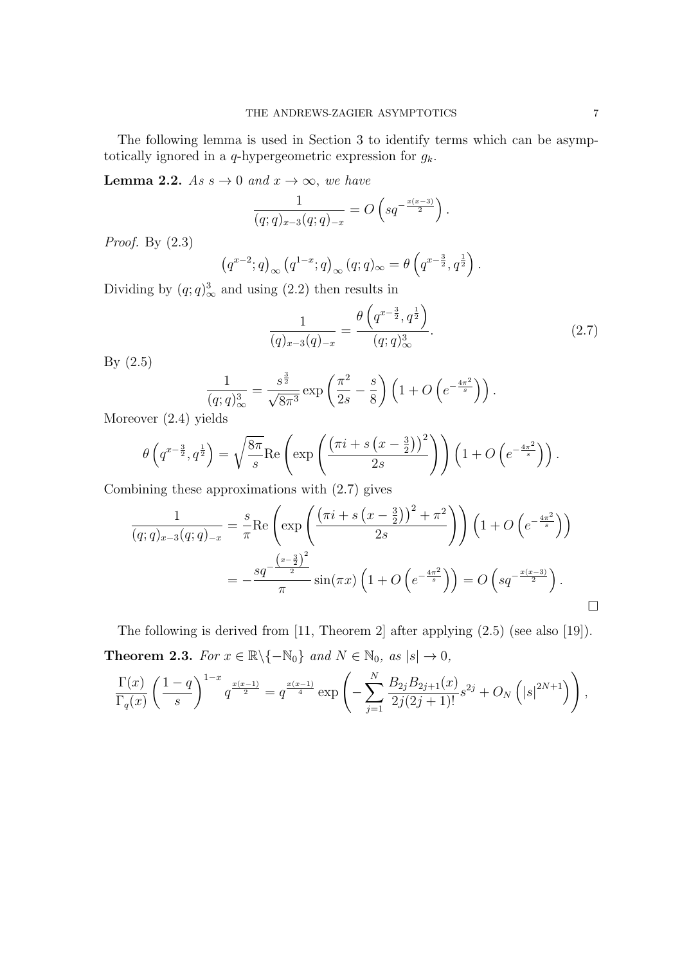The following lemma is used in Section 3 to identify terms which can be asymptotically ignored in a q-hypergeometric expression for  $g_k$ .

**Lemma 2.2.** As  $s \to 0$  and  $x \to \infty$ , we have

$$
\frac{1}{(q;q)_{x-3}(q;q)_{-x}} = O\left(sq^{-\frac{x(x-3)}{2}}\right).
$$

Proof. By (2.3)

$$
(q^{x-2};q)_{\infty} (q^{1-x};q)_{\infty} (q;q)_{\infty} = \theta \left( q^{x-\frac{3}{2}}, q^{\frac{1}{2}} \right).
$$

Dividing by  $(q; q)_{\infty}^{3}$  and using (2.2) then results in

$$
\frac{1}{(q)_{x-3}(q)_{-x}} = \frac{\theta\left(q^{x-\frac{3}{2}}, q^{\frac{1}{2}}\right)}{(q;q)_\infty^3}.
$$
\n(2.7)

By (2.5)

$$
\frac{1}{(q;q)^3_{\infty}} = \frac{s^{\frac{3}{2}}}{\sqrt{8\pi^3}} \exp\left(\frac{\pi^2}{2s} - \frac{s}{8}\right) \left(1 + O\left(e^{-\frac{4\pi^2}{s}}\right)\right).
$$

Moreover (2.4) yields

$$
\theta\left(q^{x-\frac{3}{2}},q^{\frac{1}{2}}\right) = \sqrt{\frac{8\pi}{s}}\text{Re}\left(\exp\left(\frac{\left(\pi i + s\left(x-\frac{3}{2}\right)\right)^2}{2s}\right)\right)\left(1 + O\left(e^{-\frac{4\pi^2}{s}}\right)\right).
$$

Combining these approximations with (2.7) gives

$$
\frac{1}{(q;q)_{x-3}(q;q)_{-x}} = \frac{s}{\pi} \text{Re}\left(\exp\left(\frac{(\pi i + s(x-\frac{3}{2}))^{2} + \pi^{2}}{2s}\right)\right) \left(1 + O\left(e^{-\frac{4\pi^{2}}{s}}\right)\right)
$$
\n
$$
= -\frac{sq^{-\frac{(x-\frac{3}{2})^{2}}{2}}}{\pi} \sin(\pi x) \left(1 + O\left(e^{-\frac{4\pi^{2}}{s}}\right)\right) = O\left(sq^{-\frac{x(x-3)}{2}}\right).
$$

The following is derived from [11, Theorem 2] after applying (2.5) (see also [19]). **Theorem 2.3.** For  $x \in \mathbb{R} \backslash \{-\mathbb{N}_0\}$  and  $N \in \mathbb{N}_0$ , as  $|s| \to 0$ ,

$$
\frac{\Gamma(x)}{\Gamma_q(x)} \left(\frac{1-q}{s}\right)^{1-x} q^{\frac{x(x-1)}{2}} = q^{\frac{x(x-1)}{4}} \exp\left(-\sum_{j=1}^N \frac{B_{2j}B_{2j+1}(x)}{2j(2j+1)!} s^{2j} + O_N\left(|s|^{2N+1}\right)\right),\,
$$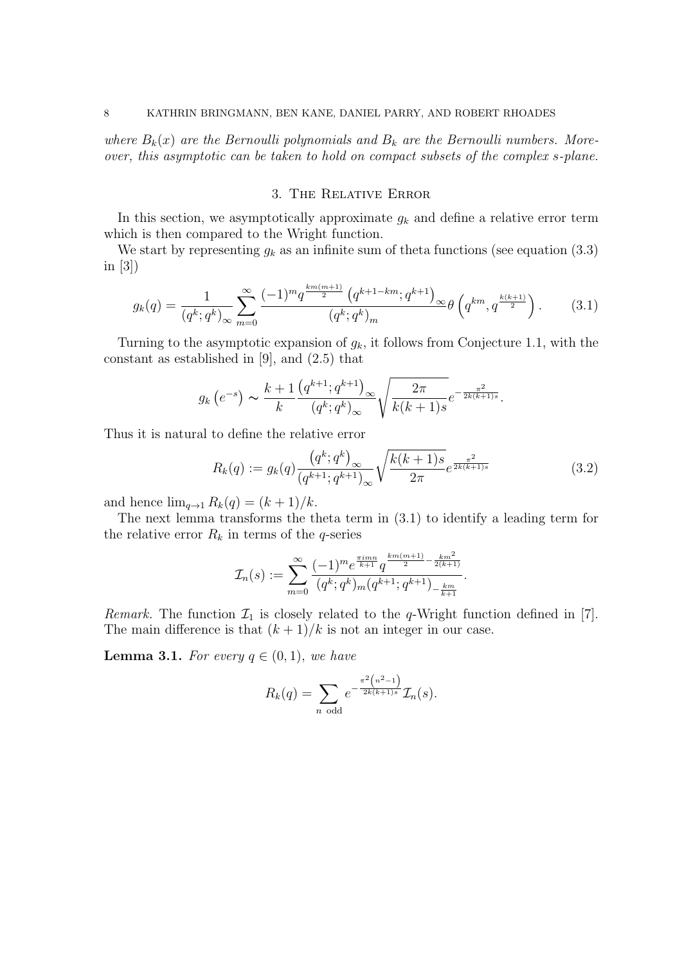where  $B_k(x)$  are the Bernoulli polynomials and  $B_k$  are the Bernoulli numbers. Moreover, this asymptotic can be taken to hold on compact subsets of the complex s-plane.

## 3. The Relative Error

In this section, we asymptotically approximate  $g_k$  and define a relative error term which is then compared to the Wright function.

We start by representing  $g_k$  as an infinite sum of theta functions (see equation (3.3) in [3])

$$
g_k(q) = \frac{1}{(q^k; q^k)_{\infty}} \sum_{m=0}^{\infty} \frac{(-1)^m q^{\frac{km(m+1)}{2}} (q^{k+1-km}; q^{k+1})_{\infty}}{(q^k; q^k)_m} \theta \left(q^{km}, q^{\frac{k(k+1)}{2}}\right).
$$
 (3.1)

Turning to the asymptotic expansion of  $g_k$ , it follows from Conjecture 1.1, with the constant as established in [9], and (2.5) that

$$
g_k(e^{-s}) \sim \frac{k+1}{k} \frac{(q^{k+1}; q^{k+1})_{\infty}}{(q^k; q^k)_{\infty}} \sqrt{\frac{2\pi}{k(k+1)s}} e^{-\frac{\pi^2}{2k(k+1)s}}.
$$

Thus it is natural to define the relative error

$$
R_k(q) := g_k(q) \frac{\left(q^k; q^k\right)_{\infty}}{\left(q^{k+1}; q^{k+1}\right)_{\infty}} \sqrt{\frac{k(k+1)s}{2\pi}} e^{\frac{\pi^2}{2k(k+1)s}}
$$
(3.2)

and hence  $\lim_{q\to 1} R_k(q) = (k+1)/k$ .

The next lemma transforms the theta term in (3.1) to identify a leading term for the relative error  $R_k$  in terms of the q-series

$$
\mathcal{I}_n(s) := \sum_{m=0}^{\infty} \frac{(-1)^m e^{\frac{\pi i m n}{k+1}} q^{\frac{km(m+1)}{2} - \frac{km^2}{2(k+1)}}}{(q^k; q^k)_m (q^{k+1}; q^{k+1})_{-\frac{km}{k+1}}}.
$$

*Remark.* The function  $\mathcal{I}_1$  is closely related to the q-Wright function defined in [7]. The main difference is that  $(k+1)/k$  is not an integer in our case.

**Lemma 3.1.** For every  $q \in (0,1)$ , we have

$$
R_k(q) = \sum_{n \text{ odd}} e^{-\frac{\pi^2 (n^2 - 1)}{2k(k+1)s}} \mathcal{I}_n(s).
$$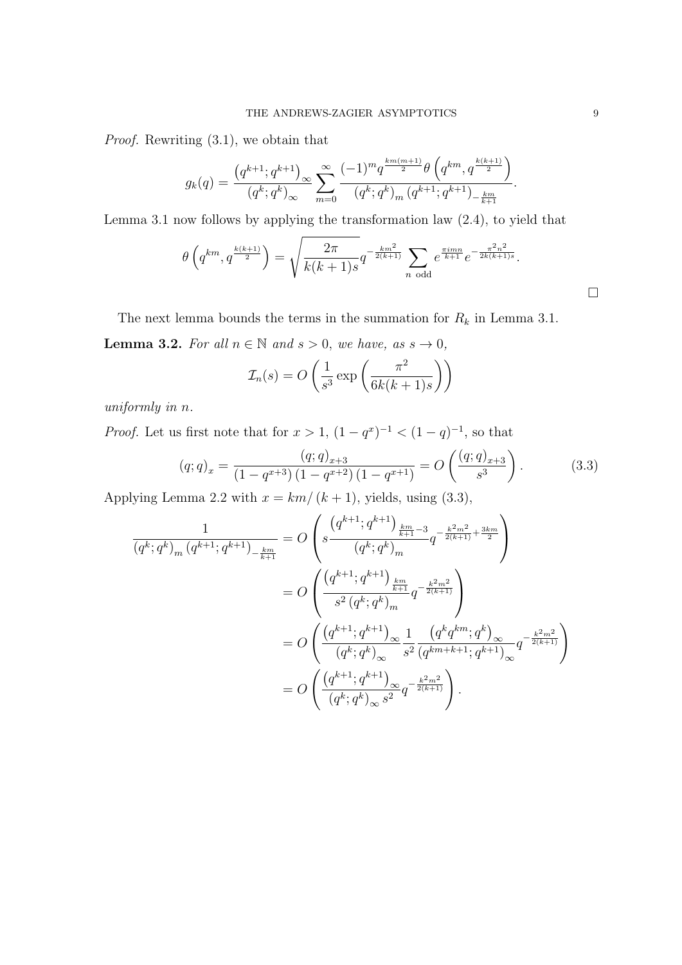Proof. Rewriting (3.1), we obtain that

$$
g_k(q) = \frac{\left(q^{k+1};q^{k+1}\right)_{\infty}}{(q^k;q^k)_{\infty}} \sum_{m=0}^{\infty} \frac{(-1)^m q^{\frac{km(m+1)}{2}} \theta\left(q^{km},q^{\frac{k(k+1)}{2}}\right)}{(q^k;q^k)_m (q^{k+1};q^{k+1})_{-\frac{km}{k+1}}}.
$$

Lemma 3.1 now follows by applying the transformation law (2.4), to yield that

$$
\theta\left(q^{km}, q^{\frac{k(k+1)}{2}}\right) = \sqrt{\frac{2\pi}{k(k+1)s}} q^{-\frac{km^2}{2(k+1)}} \sum_{n \text{ odd}} e^{\frac{\pi imn}{k+1}} e^{-\frac{\pi^2 n^2}{2k(k+1)s}}.
$$

The next lemma bounds the terms in the summation for  $R_k$  in Lemma 3.1. **Lemma 3.2.** For all  $n \in \mathbb{N}$  and  $s > 0$ , we have, as  $s \to 0$ ,

$$
\mathcal{I}_n(s) = O\left(\frac{1}{s^3} \exp\left(\frac{\pi^2}{6k(k+1)s}\right)\right)
$$

uniformly in n.

*Proof.* Let us first note that for  $x > 1$ ,  $(1 - q^x)^{-1} < (1 - q)^{-1}$ , so that

$$
(q;q)_x = \frac{(q;q)_{x+3}}{(1-q^{x+3})(1-q^{x+2})(1-q^{x+1})} = O\left(\frac{(q;q)_{x+3}}{s^3}\right).
$$
 (3.3)

Applying Lemma 2.2 with  $x = km/(k+1)$ , yields, using (3.3),

$$
\frac{1}{(q^k;q^k)_m (q^{k+1};q^{k+1})_{-\frac{km}{k+1}}} = O\left(s \frac{\left(g^{k+1};q^{k+1}\right)_{\frac{km}{k+1}-3}}{(q^k;q^k)_m} q^{-\frac{k^2m^2}{2(k+1)} + \frac{3km}{2}}\right)
$$
\n
$$
= O\left(\frac{\left(q^{k+1};q^{k+1}\right)_{\frac{km}{k+1}}}{s^2(q^k;q^k)_m} q^{-\frac{k^2m^2}{2(k+1)}}\right)
$$
\n
$$
= O\left(\frac{\left(q^{k+1};q^{k+1}\right)_{\infty}}{(q^k;q^k)_{\infty}} \frac{1}{s^2} \frac{\left(q^k q^{km};q^k\right)_{\infty}}{(q^{km+k+1};q^{k+1})_{\infty}} q^{-\frac{k^2m^2}{2(k+1)}}\right)
$$
\n
$$
= O\left(\frac{\left(q^{k+1};q^{k+1}\right)_{\infty}}{\left(q^k;q^k\right)_{\infty} s^2} q^{-\frac{k^2m^2}{2(k+1)}}\right).
$$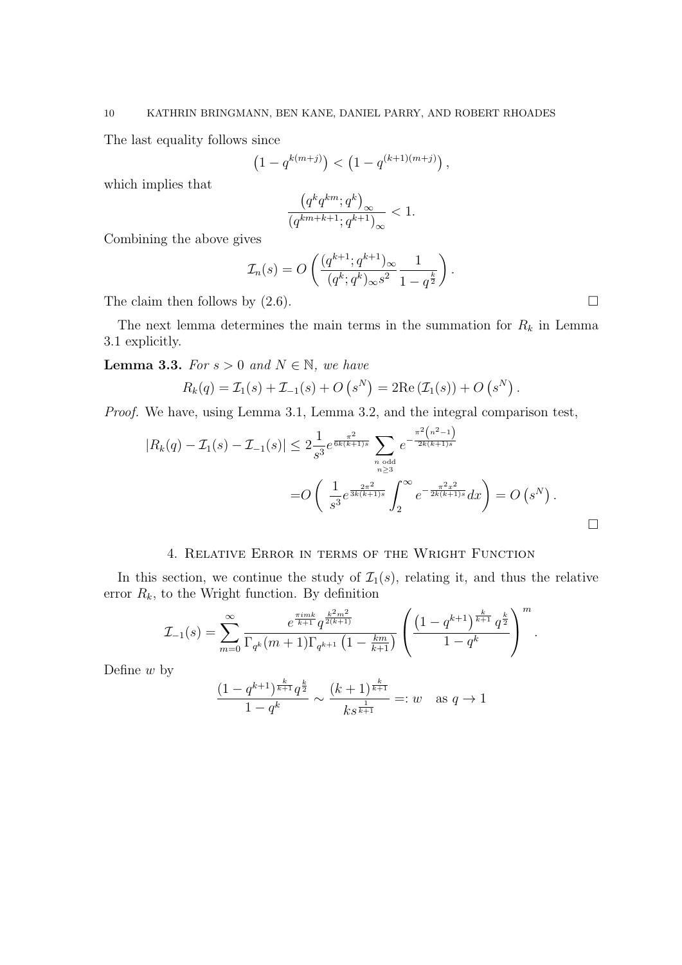The last equality follows since

$$
(1 - q^{k(m+j)}) < (1 - q^{(k+1)(m+j)}),
$$

which implies that

$$
\frac{\left(q^k q^{km};q^k\right)_{\infty}}{\left(q^{km+k+1};q^{k+1}\right)_{\infty}} < 1.
$$

Combining the above gives

$$
\mathcal{I}_n(s) = O\left(\frac{(q^{k+1}; q^{k+1})_{\infty}}{(q^k; q^k)_{\infty} s^2} \frac{1}{1 - q^{\frac{k}{2}}}\right).
$$

The claim then follows by  $(2.6)$ .

The next lemma determines the main terms in the summation for  $R_k$  in Lemma 3.1 explicitly.

**Lemma 3.3.** For  $s > 0$  and  $N \in \mathbb{N}$ , we have

$$
R_k(q) = \mathcal{I}_1(s) + \mathcal{I}_{-1}(s) + O(s^N) = 2\text{Re}(\mathcal{I}_1(s)) + O(s^N).
$$

Proof. We have, using Lemma 3.1, Lemma 3.2, and the integral comparison test,

$$
|R_k(q) - \mathcal{I}_1(s) - \mathcal{I}_{-1}(s)| \leq 2 \frac{1}{s^3} e^{\frac{\pi^2}{6k(k+1)s}} \sum_{\substack{n \text{ odd} \\ n \geq 3}} e^{-\frac{\pi^2 (n^2 - 1)}{2k(k+1)s}} = O\left(\frac{1}{s^3} e^{\frac{2\pi^2}{3k(k+1)s}} \int_2^{\infty} e^{-\frac{\pi^2 x^2}{2k(k+1)s}} dx\right) = O\left(s^N\right).
$$

## 4. Relative Error in terms of the Wright Function

In this section, we continue the study of  $\mathcal{I}_1(s)$ , relating it, and thus the relative error  $R_k$ , to the Wright function. By definition

$$
\mathcal{I}_{-1}(s) = \sum_{m=0}^{\infty} \frac{e^{\frac{\pi i mk}{k+1}} q^{\frac{k^2 m^2}{2(k+1)}}}{\Gamma_{q^k}(m+1)\Gamma_{q^{k+1}}\left(1 - \frac{km}{k+1}\right)} \left(\frac{\left(1 - q^{k+1}\right)^{\frac{k}{k+1}} q^{\frac{k}{2}}}{1 - q^k}\right)^m.
$$

Define  $w$  by

$$
\frac{(1-q^{k+1})^{\frac{k}{k+1}}q^{\frac{k}{2}}}{1-q^k} \sim \frac{(k+1)^{\frac{k}{k+1}}}{ks^{\frac{1}{k+1}}}=:w \text{ as } q \to 1
$$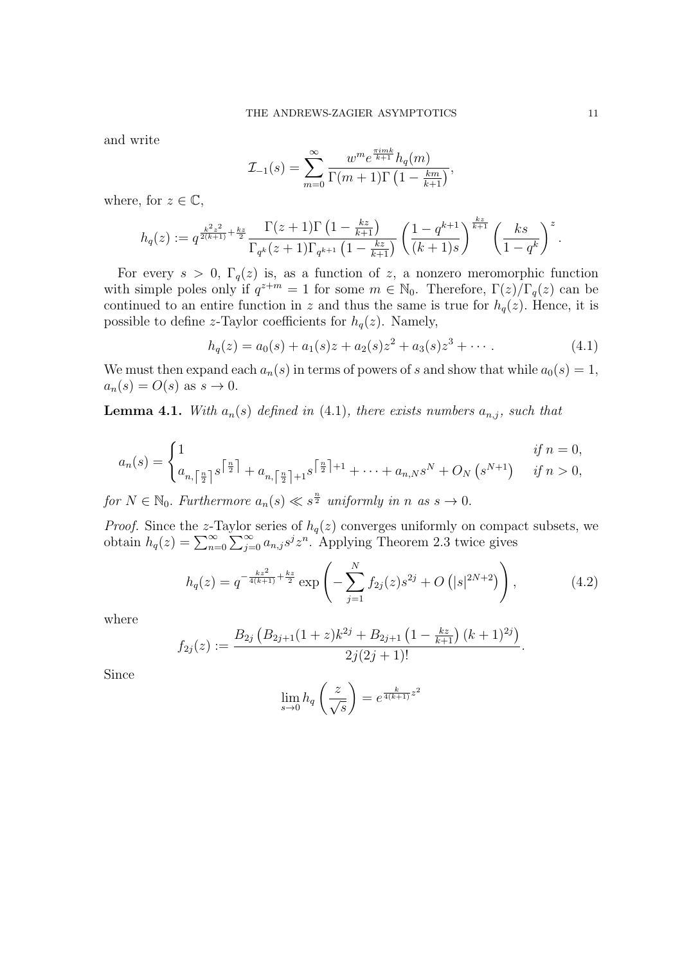and write

$$
\mathcal{I}_{-1}(s) = \sum_{m=0}^{\infty} \frac{w^m e^{\frac{\pi i m k}{k+1}} h_q(m)}{\Gamma(m+1) \Gamma\left(1 - \frac{km}{k+1}\right)},
$$

where, for  $z \in \mathbb{C}$ ,

$$
h_q(z) := q^{\frac{k^2 z^2}{2(k+1)} + \frac{kz}{2}} \frac{\Gamma(z+1)\Gamma\left(1 - \frac{kz}{k+1}\right)}{\Gamma_{q^k}(z+1)\Gamma_{q^{k+1}}\left(1 - \frac{kz}{k+1}\right)} \left(\frac{1 - q^{k+1}}{(k+1)s}\right)^{\frac{kz}{k+1}} \left(\frac{ks}{1 - q^k}\right)^z.
$$

For every  $s > 0$ ,  $\Gamma_q(z)$  is, as a function of z, a nonzero meromorphic function with simple poles only if  $q^{z+m} = 1$  for some  $m \in \mathbb{N}_0$ . Therefore,  $\Gamma(z)/\Gamma_q(z)$  can be continued to an entire function in z and thus the same is true for  $h_q(z)$ . Hence, it is possible to define z-Taylor coefficients for  $h_q(z)$ . Namely,

$$
h_q(z) = a_0(s) + a_1(s)z + a_2(s)z^2 + a_3(s)z^3 + \cdots
$$
 (4.1)

We must then expand each  $a_n(s)$  in terms of powers of s and show that while  $a_0(s) = 1$ ,  $a_n(s) = O(s)$  as  $s \to 0$ .

**Lemma 4.1.** With  $a_n(s)$  defined in (4.1), there exists numbers  $a_{n,j}$ , such that

$$
a_n(s) = \begin{cases} 1 & \text{if } n = 0, \\ a_{n, \lceil \frac{n}{2} \rceil} s^{\lceil \frac{n}{2} \rceil} + a_{n, \lceil \frac{n}{2} \rceil + 1} s^{\lceil \frac{n}{2} \rceil + 1} + \dots + a_{n, N} s^N + O_N \left( s^{N+1} \right) & \text{if } n > 0, \end{cases}
$$

for  $N \in \mathbb{N}_0$ . Furthermore  $a_n(s) \ll s^{\frac{n}{2}}$  uniformly in n as  $s \to 0$ .

*Proof.* Since the z-Taylor series of  $h_q(z)$  converges uniformly on compact subsets, we obtain  $h_q(z) = \sum_{n=0}^{\infty} \sum_{j=0}^{\infty} a_{n,j} s^j z^n$ . Applying Theorem 2.3 twice gives

$$
h_q(z) = q^{-\frac{kz^2}{4(k+1)} + \frac{kz}{2}} \exp\left(-\sum_{j=1}^N f_{2j}(z)s^{2j} + O\left(|s|^{2N+2}\right)\right),\tag{4.2}
$$

where

$$
f_{2j}(z) := \frac{B_{2j}\left(B_{2j+1}(1+z)k^{2j} + B_{2j+1}\left(1 - \frac{kz}{k+1}\right)(k+1)^{2j}\right)}{2j(2j+1)!}.
$$

Since

$$
\lim_{s \to 0} h_q\left(\frac{z}{\sqrt{s}}\right) = e^{\frac{k}{4(k+1)}z^2}
$$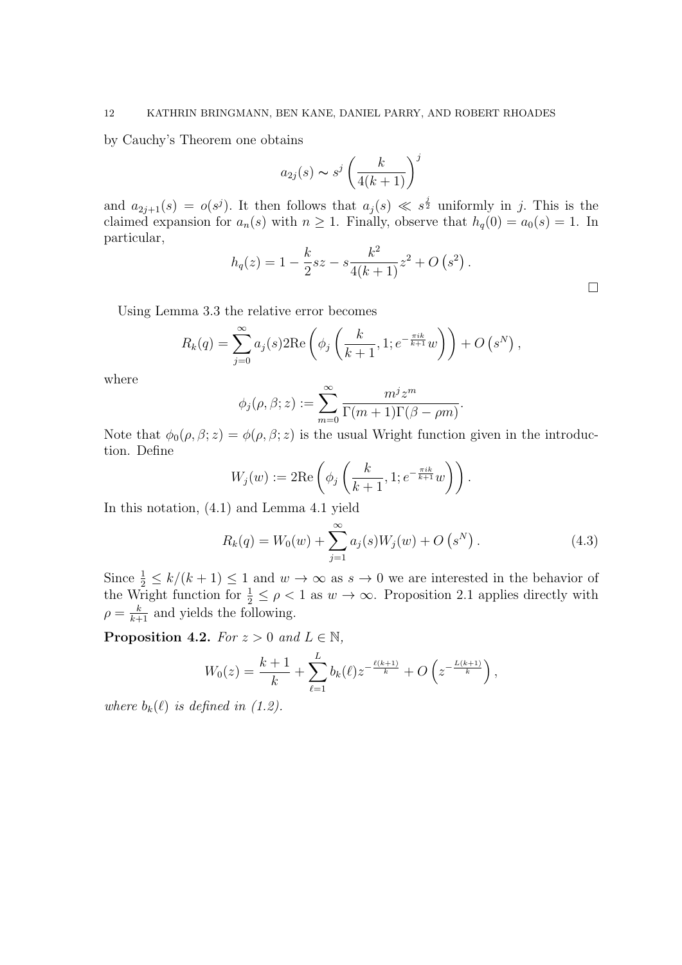by Cauchy's Theorem one obtains

$$
a_{2j}(s) \sim s^j \left(\frac{k}{4(k+1)}\right)^j
$$

and  $a_{2j+1}(s) = o(s^j)$ . It then follows that  $a_j(s) \ll s^{\frac{j}{2}}$  uniformly in j. This is the claimed expansion for  $a_n(s)$  with  $n \geq 1$ . Finally, observe that  $h_q(0) = a_0(s) = 1$ . In particular,

$$
h_q(z) = 1 - \frac{k}{2}sz - s\frac{k^2}{4(k+1)}z^2 + O(s^2).
$$

 $\Box$ 

Using Lemma 3.3 the relative error becomes

$$
R_k(q) = \sum_{j=0}^{\infty} a_j(s) 2 \text{Re}\left(\phi_j\left(\frac{k}{k+1}, 1; e^{-\frac{\pi i k}{k+1}}w\right)\right) + O\left(s^N\right),
$$

where

$$
\phi_j(\rho,\beta;z) := \sum_{m=0}^{\infty} \frac{m^j z^m}{\Gamma(m+1)\Gamma(\beta - \rho m)}.
$$

Note that  $\phi_0(\rho, \beta; z) = \phi(\rho, \beta; z)$  is the usual Wright function given in the introduction. Define

$$
W_j(w) := 2\mathrm{Re}\left(\phi_j\left(\frac{k}{k+1}, 1; e^{-\frac{\pi ik}{k+1}}w\right)\right).
$$

In this notation, (4.1) and Lemma 4.1 yield

$$
R_k(q) = W_0(w) + \sum_{j=1}^{\infty} a_j(s) W_j(w) + O(s^N).
$$
 (4.3)

Since  $\frac{1}{2} \le k/(k+1) \le 1$  and  $w \to \infty$  as  $s \to 0$  we are interested in the behavior of the Wright function for  $\frac{1}{2} \leq \rho < 1$  as  $w \to \infty$ . Proposition 2.1 applies directly with  $\rho = \frac{k}{k+1}$  and yields the following.

**Proposition 4.2.** For  $z > 0$  and  $L \in \mathbb{N}$ ,

$$
W_0(z) = \frac{k+1}{k} + \sum_{\ell=1}^L b_k(\ell) z^{-\frac{\ell(k+1)}{k}} + O\left(z^{-\frac{L(k+1)}{k}}\right),
$$

where  $b_k(\ell)$  is defined in (1.2).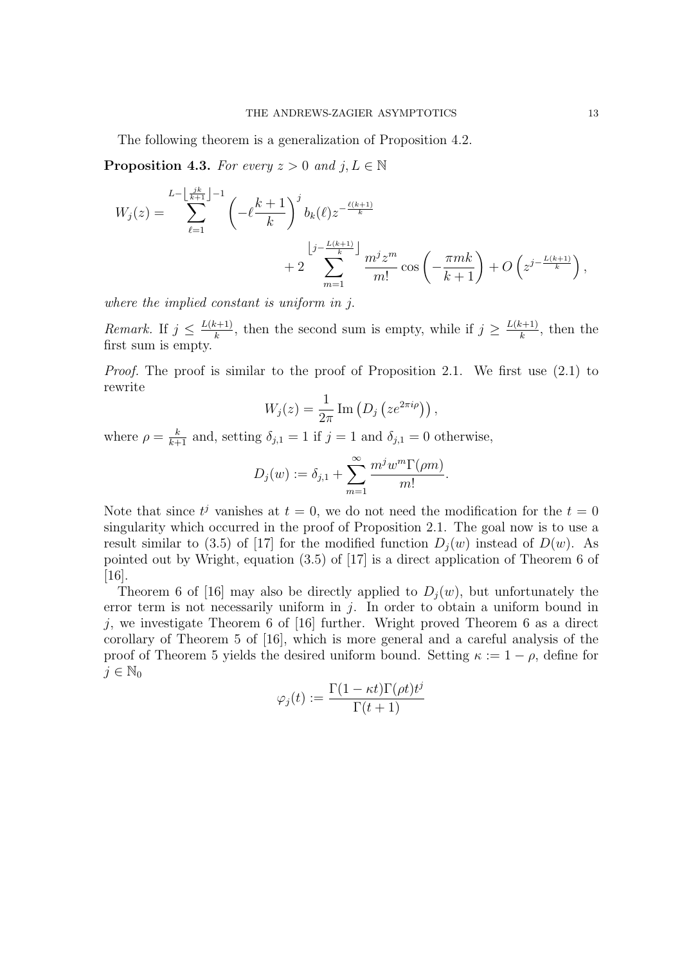The following theorem is a generalization of Proposition 4.2.

**Proposition 4.3.** For every  $z > 0$  and  $j, L \in \mathbb{N}$ 

$$
W_j(z) = \sum_{\ell=1}^{L - \left\lfloor \frac{jk}{k+1} \right\rfloor - 1} \left( -\ell \frac{k+1}{k} \right)^j b_k(\ell) z^{-\frac{\ell(k+1)}{k}}
$$
  
+ 
$$
2 \sum_{m=1}^{\left\lfloor j - \frac{L(k+1)}{k} \right\rfloor} \frac{m^j z^m}{m!} \cos \left( -\frac{\pi mk}{k+1} \right) + O\left( z^{j - \frac{L(k+1)}{k}} \right),
$$

where the implied constant is uniform in j.

*Remark.* If  $j \leq \frac{L(k+1)}{k}$  $\frac{k+1}{k}$ , then the second sum is empty, while if  $j \geq \frac{L(k+1)}{k}$  $\frac{k+1}{k}$ , then the first sum is empty.

Proof. The proof is similar to the proof of Proposition 2.1. We first use  $(2.1)$  to rewrite

$$
W_j(z) = \frac{1}{2\pi} \operatorname{Im} \left( D_j \left( z e^{2\pi i \rho} \right) \right),
$$

where  $\rho = \frac{k}{k+1}$  and, setting  $\delta_{j,1} = 1$  if  $j = 1$  and  $\delta_{j,1} = 0$  otherwise,

$$
D_j(w) := \delta_{j,1} + \sum_{m=1}^{\infty} \frac{m^j w^m \Gamma(\rho m)}{m!}.
$$

Note that since  $t^j$  vanishes at  $t = 0$ , we do not need the modification for the  $t = 0$ singularity which occurred in the proof of Proposition 2.1. The goal now is to use a result similar to (3.5) of [17] for the modified function  $D_i(w)$  instead of  $D(w)$ . As pointed out by Wright, equation (3.5) of [17] is a direct application of Theorem 6 of [16].

Theorem 6 of [16] may also be directly applied to  $D_i(w)$ , but unfortunately the error term is not necessarily uniform in  $j$ . In order to obtain a uniform bound in j, we investigate Theorem 6 of  $[16]$  further. Wright proved Theorem 6 as a direct corollary of Theorem 5 of [16], which is more general and a careful analysis of the proof of Theorem 5 yields the desired uniform bound. Setting  $\kappa := 1 - \rho$ , define for  $j \in \mathbb{N}_0$ 

$$
\varphi_j(t) := \frac{\Gamma(1 - \kappa t)\Gamma(\rho t)t^j}{\Gamma(t+1)}
$$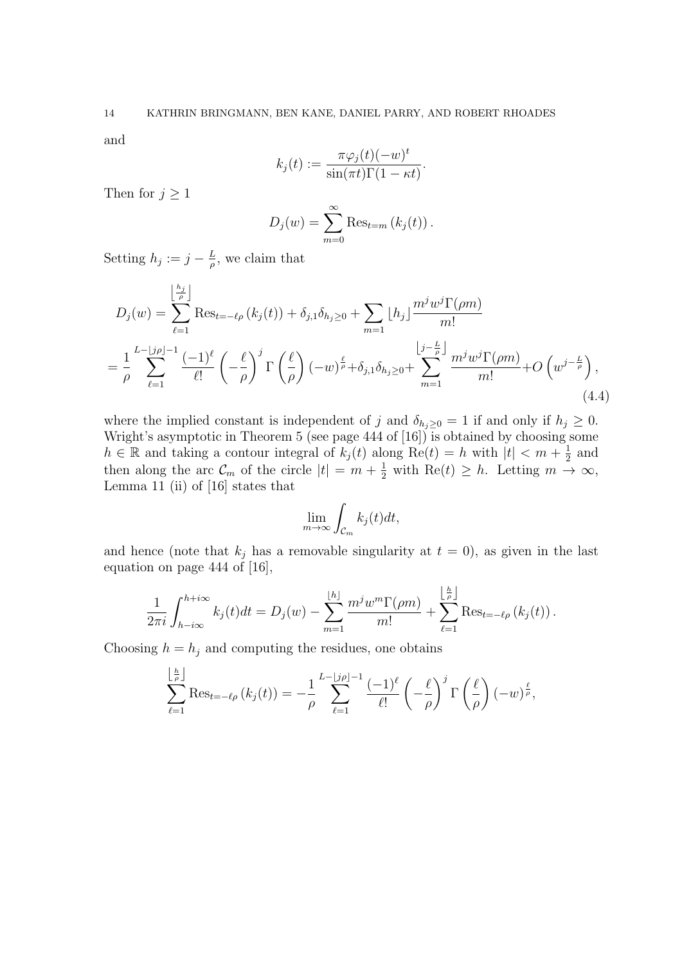and

$$
k_j(t) := \frac{\pi \varphi_j(t)(-w)^t}{\sin(\pi t)\Gamma(1-\kappa t)}.
$$

Then for  $j \geq 1$ 

$$
D_j(w) = \sum_{m=0}^{\infty} \text{Res}_{t=m} (k_j(t)).
$$

Setting  $h_j := j - \frac{L}{a}$  $\frac{L}{\rho}$ , we claim that

$$
D_j(w) = \sum_{\ell=1}^{\left\lfloor \frac{h_j}{\rho} \right\rfloor} \text{Res}_{t=-\ell\rho} \left(k_j(t)\right) + \delta_{j,1}\delta_{h_j \geq 0} + \sum_{m=1}^{\infty} \left\lfloor h_j \right\rfloor \frac{m^j w^j \Gamma(\rho m)}{m!}
$$
  
= 
$$
\frac{1}{\rho} \sum_{\ell=1}^{L-\lfloor j\rho \rfloor-1} \frac{(-1)^{\ell}}{\ell!} \left(-\frac{\ell}{\rho}\right)^j \Gamma\left(\frac{\ell}{\rho}\right) (-w)^{\frac{\ell}{\rho}} + \delta_{j,1}\delta_{h_j \geq 0} + \sum_{m=1}^{\left\lfloor j-\frac{L}{\rho}\right\rfloor} \frac{m^j w^j \Gamma(\rho m)}{m!} + O\left(w^{j-\frac{L}{\rho}}\right),
$$
(4.4)

where the implied constant is independent of j and  $\delta_{h_j\geq0}=1$  if and only if  $h_j\geq0$ . Wright's asymptotic in Theorem 5 (see page  $444$  of  $[16]$ ) is obtained by choosing some  $h \in \mathbb{R}$  and taking a contour integral of  $k_j(t)$  along  $Re(t) = h$  with  $|t| < m + \frac{1}{2}$  $rac{1}{2}$  and then along the arc  $\mathcal{C}_m$  of the circle  $|t| = m + \frac{1}{2}$  with  $\text{Re}(t) \geq h$ . Letting  $m \to \infty$ , Lemma 11 (ii) of [16] states that

$$
\lim_{m \to \infty} \int_{\mathcal{C}_m} k_j(t) dt,
$$

and hence (note that  $k_j$  has a removable singularity at  $t = 0$ ), as given in the last equation on page 444 of [16],

$$
\frac{1}{2\pi i}\int_{h-i\infty}^{h+i\infty}k_j(t)dt = D_j(w) - \sum_{m=1}^{\lfloor h\rfloor}\frac{m^jw^m\Gamma(\rho m)}{m!} + \sum_{\ell=1}^{\lfloor \frac{h}{\rho}\rfloor}\text{Res}_{t=-\ell\rho}(k_j(t)).
$$

Choosing  $h = h_j$  and computing the residues, one obtains

$$
\sum_{\ell=1}^{\lfloor \frac{h}{\rho} \rfloor} \text{Res}_{t=-\ell\rho} \left( k_j(t) \right) = -\frac{1}{\rho} \sum_{\ell=1}^{L-\lfloor j\rho \rfloor-1} \frac{(-1)^{\ell}}{\ell!} \left( -\frac{\ell}{\rho} \right)^j \Gamma \left( \frac{\ell}{\rho} \right) (-w)^{\frac{\ell}{\rho}},
$$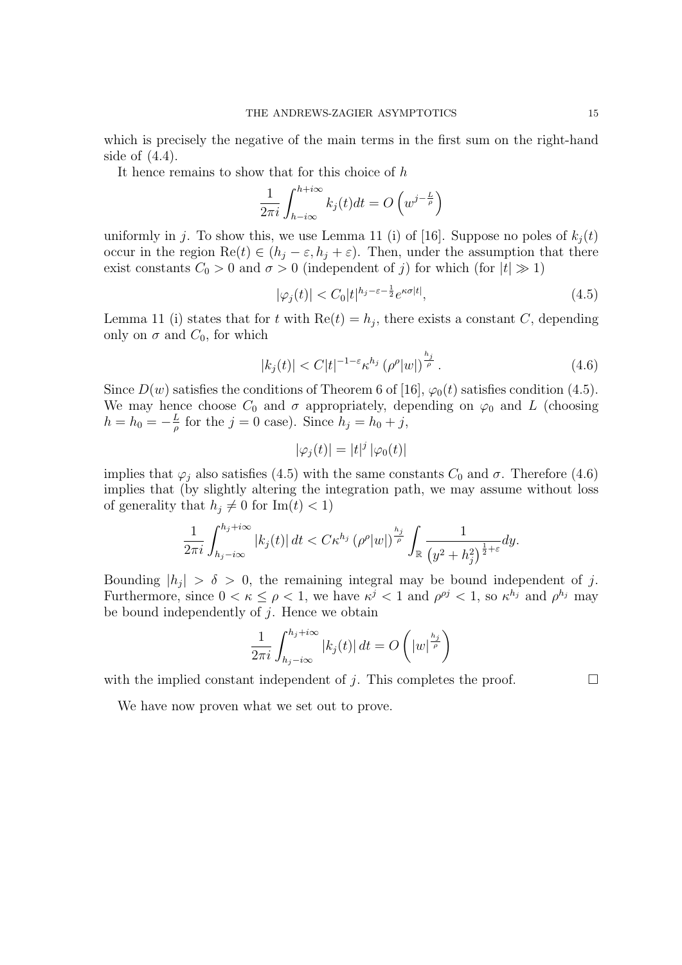which is precisely the negative of the main terms in the first sum on the right-hand side of  $(4.4)$ .

It hence remains to show that for this choice of  $h$ 

$$
\frac{1}{2\pi i} \int_{h-i\infty}^{h+i\infty} k_j(t)dt = O\left(w^{j-\frac{L}{\rho}}\right)
$$

uniformly in j. To show this, we use Lemma 11 (i) of [16]. Suppose no poles of  $k_j(t)$ occur in the region  $\text{Re}(t) \in (h_j - \varepsilon, h_j + \varepsilon)$ . Then, under the assumption that there exist constants  $C_0 > 0$  and  $\sigma > 0$  (independent of j) for which (for  $|t| \gg 1$ )

$$
|\varphi_j(t)| < C_0|t|^{h_j - \varepsilon - \frac{1}{2}} e^{\kappa \sigma |t|},\tag{4.5}
$$

Lemma 11 (i) states that for t with  $Re(t) = h_j$ , there exists a constant C, depending only on  $\sigma$  and  $C_0$ , for which

$$
|k_j(t)| < C|t|^{-1-\varepsilon} \kappa^{h_j} \left(\rho^{\rho} |w|\right)^{\frac{h_j}{\rho}}.\tag{4.6}
$$

Since  $D(w)$  satisfies the conditions of Theorem 6 of [16],  $\varphi_0(t)$  satisfies condition (4.5). We may hence choose  $C_0$  and  $\sigma$  appropriately, depending on  $\varphi_0$  and L (choosing  $h = h_0 = -\frac{L}{a}$  $\frac{L}{\rho}$  for the  $j = 0$  case). Since  $h_j = h_0 + j$ ,

$$
|\varphi_j(t)| = |t|^j |\varphi_0(t)|
$$

implies that  $\varphi_i$  also satisfies (4.5) with the same constants  $C_0$  and  $\sigma$ . Therefore (4.6) implies that (by slightly altering the integration path, we may assume without loss of generality that  $h_j \neq 0$  for  $\text{Im}(t) < 1$ )

$$
\frac{1}{2\pi i}\int_{h_j-i\infty}^{h_j+i\infty} |k_j(t)| dt < C\kappa^{h_j} \left(\rho^{\rho} |w|\right)^{\frac{h_j}{\rho}} \int_{\mathbb{R}} \frac{1}{\left(y^2 + h_j^2\right)^{\frac{1}{2}+\varepsilon}} dy.
$$

Bounding  $|h_j| > \delta > 0$ , the remaining integral may be bound independent of j. Furthermore, since  $0 < \kappa \leq \rho < 1$ , we have  $\kappa^{j} < 1$  and  $\rho^{\rho j} < 1$ , so  $\kappa^{h_j}$  and  $\rho^{h_j}$  may be bound independently of  $j$ . Hence we obtain

$$
\frac{1}{2\pi i} \int_{h_j - i\infty}^{h_j + i\infty} |k_j(t)| dt = O\left(|w|^{\frac{h_j}{\rho}}\right)
$$

with the implied constant independent of j. This completes the proof.  $\Box$ 

We have now proven what we set out to prove.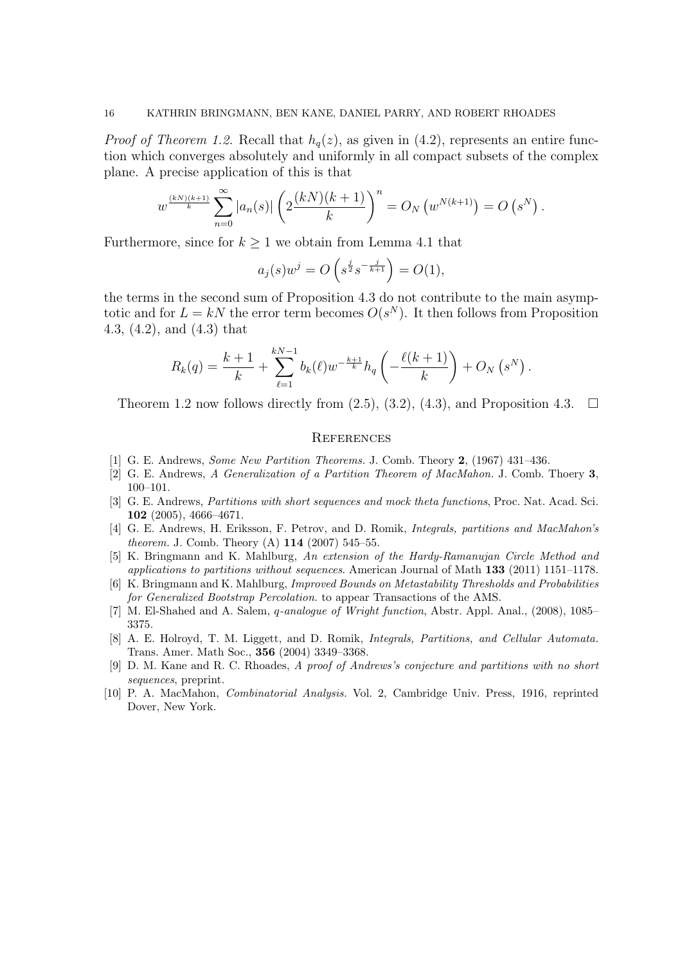*Proof of Theorem 1.2.* Recall that  $h_q(z)$ , as given in (4.2), represents an entire function which converges absolutely and uniformly in all compact subsets of the complex plane. A precise application of this is that

$$
w^{\frac{(kN)(k+1)}{k}} \sum_{n=0}^{\infty} |a_n(s)| \left( 2\frac{(kN)(k+1)}{k} \right)^n = O_N(w^{N(k+1)}) = O(s^N).
$$

Furthermore, since for  $k \geq 1$  we obtain from Lemma 4.1 that

$$
a_j(s)w^j = O\left(s^{\frac{j}{2}}s^{-\frac{j}{k+1}}\right) = O(1),
$$

the terms in the second sum of Proposition 4.3 do not contribute to the main asymptotic and for  $L = kN$  the error term becomes  $O(s^N)$ . It then follows from Proposition 4.3, (4.2), and (4.3) that

$$
R_k(q) = \frac{k+1}{k} + \sum_{\ell=1}^{kN-1} b_k(\ell) w^{-\frac{k+1}{k}} h_q\left(-\frac{\ell(k+1)}{k}\right) + O_N\left(s^N\right).
$$

Theorem 1.2 now follows directly from  $(2.5)$ ,  $(3.2)$ ,  $(4.3)$ , and Proposition 4.3.  $\Box$ 

### **REFERENCES**

- [1] G. E. Andrews, Some New Partition Theorems. J. Comb. Theory 2, (1967) 431–436.
- [2] G. E. Andrews, A Generalization of a Partition Theorem of MacMahon. J. Comb. Thoery 3, 100–101.
- [3] G. E. Andrews, *Partitions with short sequences and mock theta functions*, Proc. Nat. Acad. Sci. 102 (2005), 4666–4671.
- [4] G. E. Andrews, H. Eriksson, F. Petrov, and D. Romik, Integrals, partitions and MacMahon's theorem. J. Comb. Theory (A) 114 (2007) 545–55.
- [5] K. Bringmann and K. Mahlburg, An extension of the Hardy-Ramanujan Circle Method and applications to partitions without sequences. American Journal of Math 133 (2011) 1151–1178.
- [6] K. Bringmann and K. Mahlburg, Improved Bounds on Metastability Thresholds and Probabilities for Generalized Bootstrap Percolation. to appear Transactions of the AMS.
- [7] M. El-Shahed and A. Salem, q-analogue of Wright function, Abstr. Appl. Anal., (2008), 1085– 3375.
- [8] A. E. Holroyd, T. M. Liggett, and D. Romik, Integrals, Partitions, and Cellular Automata. Trans. Amer. Math Soc., 356 (2004) 3349–3368.
- [9] D. M. Kane and R. C. Rhoades, A proof of Andrews's conjecture and partitions with no short sequences, preprint.
- [10] P. A. MacMahon, Combinatorial Analysis. Vol. 2, Cambridge Univ. Press, 1916, reprinted Dover, New York.